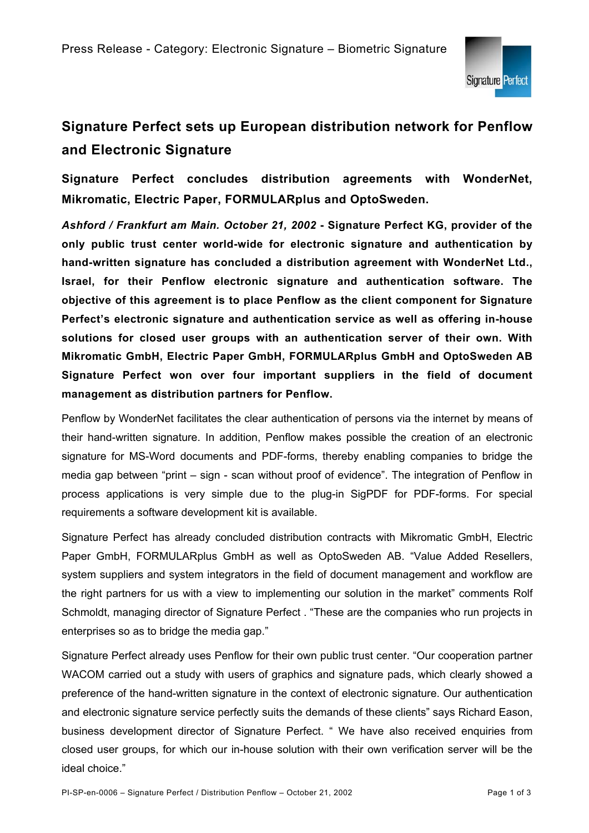

## **Signature Perfect sets up European distribution network for Penflow and Electronic Signature**

**Signature Perfect concludes distribution agreements with WonderNet, Mikromatic, Electric Paper, FORMULARplus and OptoSweden.** 

*Ashford / Frankfurt am Main. October 21, 2002* **- Signature Perfect KG, provider of the only public trust center world-wide for electronic signature and authentication by hand-written signature has concluded a distribution agreement with WonderNet Ltd., Israel, for their Penflow electronic signature and authentication software. The objective of this agreement is to place Penflow as the client component for Signature Perfect's electronic signature and authentication service as well as offering in-house solutions for closed user groups with an authentication server of their own. With Mikromatic GmbH, Electric Paper GmbH, FORMULARplus GmbH and OptoSweden AB Signature Perfect won over four important suppliers in the field of document management as distribution partners for Penflow.** 

Penflow by WonderNet facilitates the clear authentication of persons via the internet by means of their hand-written signature. In addition, Penflow makes possible the creation of an electronic signature for MS-Word documents and PDF-forms, thereby enabling companies to bridge the media gap between "print – sign - scan without proof of evidence". The integration of Penflow in process applications is very simple due to the plug-in SigPDF for PDF-forms. For special requirements a software development kit is available.

Signature Perfect has already concluded distribution contracts with Mikromatic GmbH, Electric Paper GmbH, FORMULARplus GmbH as well as OptoSweden AB. "Value Added Resellers, system suppliers and system integrators in the field of document management and workflow are the right partners for us with a view to implementing our solution in the market" comments Rolf Schmoldt, managing director of Signature Perfect . "These are the companies who run projects in enterprises so as to bridge the media gap."

Signature Perfect already uses Penflow for their own public trust center. "Our cooperation partner WACOM carried out a study with users of graphics and signature pads, which clearly showed a preference of the hand-written signature in the context of electronic signature. Our authentication and electronic signature service perfectly suits the demands of these clients" says Richard Eason, business development director of Signature Perfect. " We have also received enquiries from closed user groups, for which our in-house solution with their own verification server will be the ideal choice."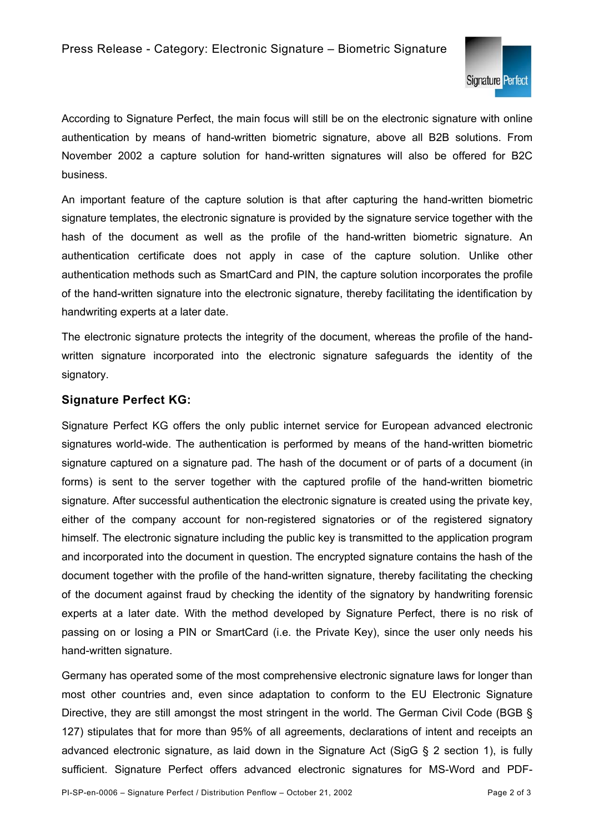

According to Signature Perfect, the main focus will still be on the electronic signature with online authentication by means of hand-written biometric signature, above all B2B solutions. From November 2002 a capture solution for hand-written signatures will also be offered for B2C business.

An important feature of the capture solution is that after capturing the hand-written biometric signature templates, the electronic signature is provided by the signature service together with the hash of the document as well as the profile of the hand-written biometric signature. An authentication certificate does not apply in case of the capture solution. Unlike other authentication methods such as SmartCard and PIN, the capture solution incorporates the profile of the hand-written signature into the electronic signature, thereby facilitating the identification by handwriting experts at a later date.

The electronic signature protects the integrity of the document, whereas the profile of the handwritten signature incorporated into the electronic signature safeguards the identity of the signatory.

## **Signature Perfect KG:**

Signature Perfect KG offers the only public internet service for European advanced electronic signatures world-wide. The authentication is performed by means of the hand-written biometric signature captured on a signature pad. The hash of the document or of parts of a document (in forms) is sent to the server together with the captured profile of the hand-written biometric signature. After successful authentication the electronic signature is created using the private key, either of the company account for non-registered signatories or of the registered signatory himself. The electronic signature including the public key is transmitted to the application program and incorporated into the document in question. The encrypted signature contains the hash of the document together with the profile of the hand-written signature, thereby facilitating the checking of the document against fraud by checking the identity of the signatory by handwriting forensic experts at a later date. With the method developed by Signature Perfect, there is no risk of passing on or losing a PIN or SmartCard (i.e. the Private Key), since the user only needs his hand-written signature.

Germany has operated some of the most comprehensive electronic signature laws for longer than most other countries and, even since adaptation to conform to the EU Electronic Signature Directive, they are still amongst the most stringent in the world. The German Civil Code (BGB § 127) stipulates that for more than 95% of all agreements, declarations of intent and receipts an advanced electronic signature, as laid down in the Signature Act (SigG § 2 section 1), is fully sufficient. Signature Perfect offers advanced electronic signatures for MS-Word and PDF-